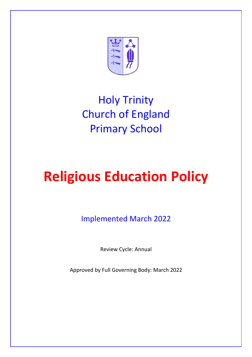

# Holy Trinity Church of England Primary School

# **Religious Education Policy**

Implemented March 2022

Review Cycle: Annual

Approved by Full Governing Body: March 2022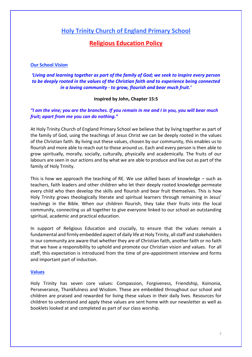## **Holy Trinity Church of England Primary School**

### **Religious Education Policy**

#### **Our School Vision**

#### *'Living and learning together as part of the family of God; we seek to inspire every person to be deeply rooted in the values of the Christian faith and to experience being connected in a loving community - to grow, flourish and bear much fruit.'*

#### **Inspired by John, Chapter 15:5**

#### *"I am the vine; you are the branches. If you remain in me and I in you, you will bear much fruit; apart from me you can do nothing."*

At Holy Trinity Church of England Primary School we believe that by living together as part of the family of God, using the teachings of Jesus Christ we can be deeply rooted in the values of the Christian faith. By living out these values, chosen by our community, this enables us to flourish and more able to reach out to those around us. Each and every person is then able to grow spiritually, morally, socially, culturally, physically and academically. The fruits of our labours are seen in our actions and by what we are able to produce and live out as part of the family of Holy Trinity.

This is how we approach the teaching of RE. We use skilled bases of knowledge  $-$  such as teachers, faith leaders and other children who let their deeply rooted knowledge permeate every child who then develop the skills and flourish and bear fruit themselves. This is how Holy Trinity grows theologically literate and spiritual learners through remaining in Jesus' teachings in the Bible. When our children flourish, they take their fruits into the local community, connecting us all together to give everyone linked to our school an outstanding spiritual, academic and practical education.

In support of Religious Education and crucially, to ensure that the values remain a fundamental and firmly embedded aspect of daily life at Holy Trinity, all staff and stakeholders in our community are aware that whether they are of Christian faith, another faith or no faith that we have a responsibility to uphold and promote our Christian vision and values. For all staff, this expectation is introduced from the time of pre-appointment interview and forms and important part of induction.

#### **Values**

Holy Trinity has seven core values: Compassion, Forgiveness, Friendship, Koinonia, Perseverance, Thankfulness and Wisdom. These are embedded throughout our school and children are praised and rewarded for living these values in their daily lives. Resources for children to understand and apply these values are sent home with our newsletter as well as booklets looked at and completed as part of our class worship.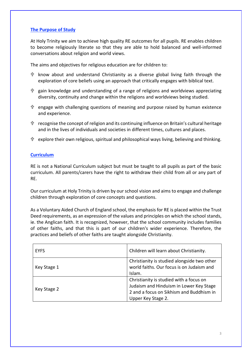#### **The Purpose of Study**

At Holy Trinity we aim to achieve high quality RE outcomes for all pupils. RE enables children to become religiously literate so that they are able to hold balanced and well-informed conversations about religion and world views.

The aims and objectives for religious education are for children to:

- $\oplus$  know about and understand Christianity as a diverse global living faith through the exploration of core beliefs using an approach that critically engages with biblical text.
- $\hat{T}$  gain knowledge and understanding of a range of religions and worldviews appreciating diversity, continuity and change within the religions and worldviews being studied.
- <sup>十</sup> engage with challenging questions of meaning and purpose raised by human existence and experience.
- $\mathcal{F}$  recognise the concept of religion and its continuing influence on Britain's cultural heritage and in the lives of individuals and societies in different times, cultures and places.
- explore their own religious, spiritual and philosophical ways living, believing and thinking.

#### **Curriculum**

RE is not a National Curriculum subject but must be taught to all pupils as part of the basic curriculum. All parents/carers have the right to withdraw their child from all or any part of RE.

Our curriculum at Holy Trinity is driven by our school vision and aims to engage and challenge children through exploration of core concepts and questions.

As a Voluntary Aided Church of England school, the emphasis for RE is placed within the Trust Deed requirements, as an expression of the values and principles on which the school stands, ie. the Anglican faith. It is recognized, however, that the school community includes families of other faiths, and that this is part of our children's wider experience. Therefore, the practices and beliefs of other faiths are taught alongside Christianity.

| <b>EYFS</b> | Children will learn about Christianity.                                                                                                              |
|-------------|------------------------------------------------------------------------------------------------------------------------------------------------------|
| Key Stage 1 | Christianity is studied alongside two other<br>world faiths. Our focus is on Judaism and<br>Islam.                                                   |
| Key Stage 2 | Christianity is studied with a focus on<br>Judaism and Hinduism in Lower Key Stage<br>2 and a focus on Sikhism and Buddhism in<br>Upper Key Stage 2. |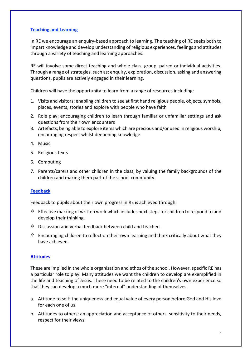#### **Teaching and Learning**

In RE we encourage an enquiry-based approach to learning. The teaching of RE seeks both to impart knowledge and develop understanding of religious experiences, feelings and attitudes through a variety of teaching and learning approaches.

RE will involve some direct teaching and whole class, group, paired or individual activities. Through a range of strategies, such as: enquiry, exploration, discussion, asking and answering questions, pupils are actively engaged in their learning.

Children will have the opportunity to learn from a range of resources including:

- 1. Visits and visitors; enabling children to see at first hand religious people, objects, symbols, places, events, stories and explore with people who have faith
- 2. Role play; encouraging children to learn through familiar or unfamiliar settings and ask questions from their own encounters
- 3. Artefacts; being able to explore items which are precious and/or used in religious worship, encouraging respect whilst deepening knowledge
- 4. Music
- 5. Religious texts
- 6. Computing
- 7. Parents/carers and other children in the class; by valuing the family backgrounds of the children and making them part of the school community.

#### **Feedback**

Feedback to pupils about their own progress in RE is achieved through:

- Effective marking of written work which includes next steps for children to respond to and develop their thinking.
- Discussion and verbal feedback between child and teacher.
- Encouraging children to reflect on their own learning and think critically about what they have achieved.

#### **Attitudes**

These are implied in the whole organisation and ethos of the school. However, specific RE has a particular role to play. Many attitudes we want the children to develop are exemplified in the life and teaching of Jesus. These need to be related to the children's own experience so that they can develop a much more "internal" understanding of themselves.

- a. Attitude to self: the uniqueness and equal value of every person before God and His love for each one of us.
- b. Attitudes to others: an appreciation and acceptance of others, sensitivity to their needs, respect for their views.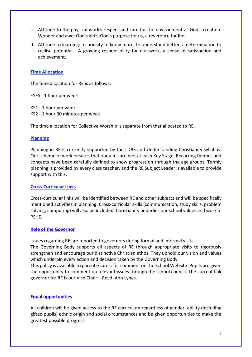- c. Attitude to the physical world: respect and care for the environment as God's creation. Wonder and awe: God's gifts, God's purpose for us, a reverence for life.
- d. Attitude to learning: a curiosity to know more, to understand better, a determination to realise potential. A growing responsibility for our work, a sense of satisfaction and achievement.

#### **Time Allocation**

The time allocation for RE is as follows:

EYFS - 1 hour per week

KS1 - 1 hour per week KS2 - 1 hour 30 minutes per week

The time allocation for Collective Worship is separate from that allocated to RE.

#### **Planning**

Planning in RE is currently supported by the LDBS and Understanding Christianity syllabus. Our scheme of work ensures that our aims are met at each Key Stage. Recurring themes and concepts have been carefully defined to show progression through the age groups. Termly planning is provided by every class teacher, and the RE Subject Leader is available to provide support with this.

#### **Cross-Curricular Links**

Cross-curricular links will be identified between RE and other subjects and will be specifically mentioned activities in planning. Cross-curricular skills (communication, study skills, problem solving, computing) will also be included. Christianity underlies our school values and work in PSHE.

#### **Role of the Governor**

Issues regarding RE are reported to governors during formal and informal visits.

The Governing Body supports all aspects of RE through appropriate visits to rigorously strengthen and encourage our distinctive Christian ethos. They uphold our vision and values which underpin every action and decision taken by the Governing Body.

This policy is available to parents/carers for comment on the School Website. Pupils are given the opportunity to comment on relevant issues through the school council. The current link governor for RE is our Vice Chair – Revd. Ann Lynes.

#### **Equal opportunities**

All children will be given access to the RE curriculum regardless of gender, ability (including gifted pupils) ethnic origin and social circumstances and be given opportunities to make the greatest possible progress.